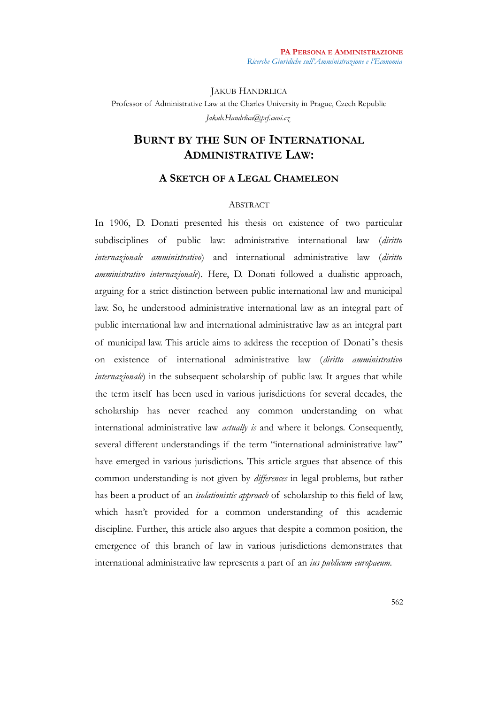JAKUB HANDRLICA Professor of Administrative Law at the Charles University in Prague, Czech Republic *[Jakub.Handrlica@prf.cuni.cz](mailto:Jakub.Handrlica@prf.cuni.cz)*

# **BURNT BY THE SUN OF INTERNATIONAL ADMINISTRATIVE LAW:**

## **A SKETCH OF A LEGAL CHAMELEON**

## ABSTRACT

In 1906, D. Donati presented his thesis on existence of two particular subdisciplines of public law: administrative international law (*diritto internazionale amministrativo*) and international administrative law (*diritto amministrativo internazionale*). Here, D. Donati followed a dualistic approach, arguing for a strict distinction between public international law and municipal law. So, he understood administrative international law as an integral part of public international law and international administrative law as an integral part of municipal law. This article aims to address the reception of Donati's thesis on existence of international administrative law (*diritto amministrativo internazionale*) in the subsequent scholarship of public law. It argues that while the term itself has been used in various jurisdictions for several decades, the scholarship has never reached any common understanding on what international administrative law *actually is* and where it belongs. Consequently, several different understandings if the term "international administrative law" have emerged in various jurisdictions. This article argues that absence of this common understanding is not given by *differences* in legal problems, but rather has been a product of an *isolationistic approach* of scholarship to this field of law, which hasn't provided for a common understanding of this academic discipline. Further, this article also argues that despite a common position, the emergence of this branch of law in various jurisdictions demonstrates that international administrative law represents a part of an *ius publicum europaeum.*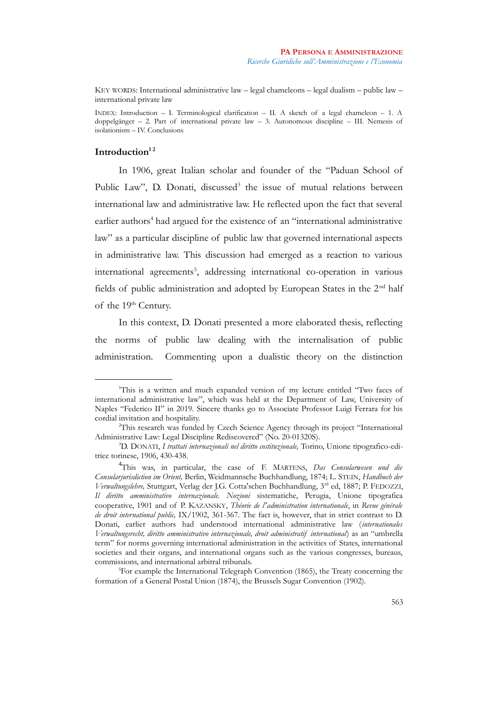KEY WORDS: International administrative law – legal chameleons – legal dualism – public law – international private law

INDEX: Introduction – I. Terminological clarification – II. A sketch of a legal chameleon – 1. A doppelgänger – 2. Part of international private law – 3. Autonomous discipline – III. Nemesis of isolationism – IV. Conclusions

## **Introduction[1](#page-1-0) [2](#page-1-1)**

In 1906, great Italian scholar and founder of the "Paduan School of Public Law", D. Donati, discussed<sup>[3](#page-1-2)</sup> the issue of mutual relations between international law and administrative law. He reflected upon the fact that several earlier authors<sup>[4](#page-1-3)</sup> had argued for the existence of an "international administrative law" as a particular discipline of public law that governed international aspects in administrative law. This discussion had emerged as a reaction to various international agreements<sup>[5](#page-1-4)</sup>, addressing international co-operation in various fields of public administration and adopted by European States in the 2<sup>nd</sup> half of the 19<sup>th</sup> Century.

In this context, D. Donati presented a more elaborated thesis, reflecting the norms of public law dealing with the internalisation of public administration. Commenting upon a dualistic theory on the distinction

<span id="page-1-0"></span><sup>&</sup>lt;sup>1</sup>This is a written and much expanded version of my lecture entitled "Two faces of international administrative law", which was held at the Department of Law, University of Naples "Federico II" in 2019. Sincere thanks go to Associate Professor Luigi Ferrara for his cordial invitation and hospitality.

<span id="page-1-1"></span><sup>2</sup>This research was funded by Czech Science Agency through its project "International Administrative Law: Legal Discipline Rediscovered" (No. 20-01320S).

<span id="page-1-2"></span><sup>3</sup>D. DONATI, *I trattati internazionali nel diritto costituzionale,* Torino, Unione tipografico-editrice torinese, 1906, 430-438.

<span id="page-1-3"></span><sup>4</sup> This was, in particular, the case of F. MARTENS, *Das Consularwesen und die Consularjurisdiction im Orient,* Berlin, Weidmannsche Buchhandlung, 1874; L. STEIN, *Handbuch der Verwaltungslehre,* Stuttgart, Verlag der J.G. Cotta'schen Buchhandlung, 3rd ed, 1887; P. FEDOZZI, *Il diritto amministrativo internazionale. Nozioni* sistematiche, Perugia, Unione tipografica cooperative, 1901 and of P. KAZANSKY, *Théorie de l'administration internationale*, in *Revue générale de droit international public,* IX/1902, 361-367. The fact is, however, that in strict contrast to D. Donati, earlier authors had understood international administrative law (*internationales Verwaltungsrecht, diritto amministrativo internazionale, droit administratif international*) as an "umbrella term" for norms governing international administration in the activities of States, international societies and their organs, and international organs such as the various congresses, bureaus, commissions, and international arbitral tribunals.

<span id="page-1-4"></span><sup>5</sup>For example the International Telegraph Convention (1865), the Treaty concerning the formation of a General Postal Union (1874), the Brussels Sugar Convention (1902).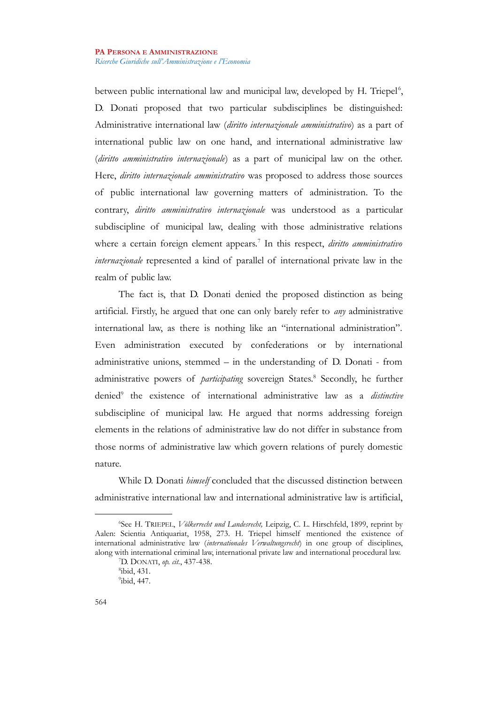between public international law and municipal law, developed by H. Triepel<sup>[6](#page-2-0)</sup>, D. Donati proposed that two particular subdisciplines be distinguished: Administrative international law (*diritto internazionale amministrativo*) as a part of international public law on one hand, and international administrative law (*diritto amministrativo internazionale*) as a part of municipal law on the other. Here, *diritto internazionale amministrativo* was proposed to address those sources of public international law governing matters of administration. To the contrary, *diritto amministrativo internazionale* was understood as a particular subdiscipline of municipal law, dealing with those administrative relations where a certain foreign element appears.[7](#page-2-1) In this respect, *diritto amministrativo internazionale* represented a kind of parallel of international private law in the realm of public law.

The fact is, that D. Donati denied the proposed distinction as being artificial. Firstly, he argued that one can only barely refer to *any* administrative international law, as there is nothing like an "international administration". Even administration executed by confederations or by international administrative unions, stemmed – in the understanding of D. Donati - from administrative powers of *participating* sovereign States.<sup>[8](#page-2-2)</sup> Secondly, he further denied<sup>[9](#page-2-3)</sup> the existence of international administrative law as a *distinctive* subdiscipline of municipal law. He argued that norms addressing foreign elements in the relations of administrative law do not differ in substance from those norms of administrative law which govern relations of purely domestic nature.

While D. Donati *himself* concluded that the discussed distinction between administrative international law and international administrative law is artificial,

<span id="page-2-0"></span><sup>6</sup> See H. TRIEPEL, *Völkerrecht und Landesrecht,* Leipzig, C. L. Hirschfeld, 1899, reprint by Aalen: Scientia Antiquariat, 1958, 273. H. Triepel himself mentioned the existence of international administrative law (*internationales Verwaltungsrecht*) in one group of disciplines, along with international criminal law, international private law and international procedural law.

<span id="page-2-1"></span><sup>7</sup>D. DONATI, *op. cit.*, 437-438. 8 ibid, 431.

<span id="page-2-3"></span><span id="page-2-2"></span><sup>&</sup>lt;sup>9</sup>ibid, 447.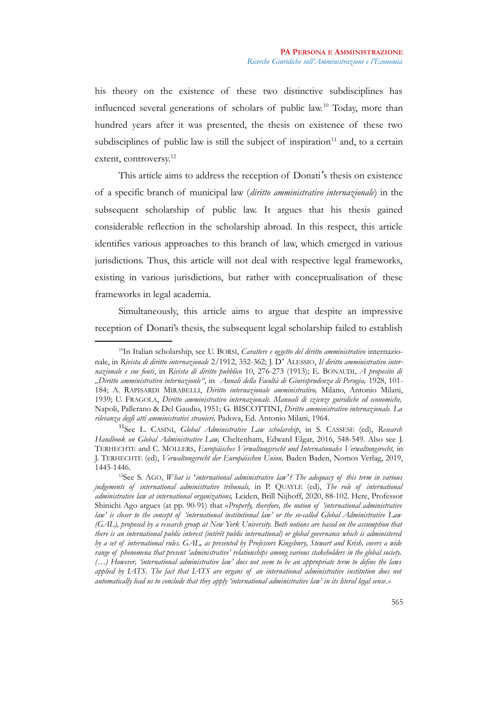his theory on the existence of these two distinctive subdisciplines has influenced several generations of scholars of public law.[10](#page-3-0) Today, more than hundred years after it was presented, the thesis on existence of these two subdisciplines of public law is still the subject of inspiration $11$  and, to a certain extent, controversy.<sup>[12](#page-3-2)</sup>

This article aims to address the reception of Donati's thesis on existence of a specific branch of municipal law (*diritto amministrativo internazionale*) in the subsequent scholarship of public law. It argues that his thesis gained considerable reflection in the scholarship abroad. In this respect, this article identifies various approaches to this branch of law, which emerged in various jurisdictions. Thus, this article will not deal with respective legal frameworks, existing in various jurisdictions, but rather with conceptualisation of these frameworks in legal academia.

Simultaneously, this article aims to argue that despite an impressive reception of Donati's thesis, the subsequent legal scholarship failed to establish

<span id="page-3-0"></span><sup>10</sup>In Italian scholarship, see U. BORSI, *Carattere e oggetto del diritto amministrativo* internazionale, in *Rivista di diritto internazionale* 2/1912, 352-362; J. D' ALESSIO, *Il diritto amministrativo internazionale e sue fonti*, in *Rivista di diritto pubblico* 10, 276-273 (1913); E. BONAUDI, *A proposito di "Diritto amministrativo internazionle"*, in *Annali della Facoltà di Giurisprudenza di Perugia,* 1928, 101- 184; A. RAPISARDI MIRABELLI, *Diritto internazionale amministrativo,* Milano, Antonio Milani, 1939; U. FRAGOLA, *Diritto amministrativo internazionale. Manuali di szienze guiridiche ed economiche,* Napoli, Pallerano & Del Gaudio, 1951; G. BISCOTTINI, *Diritto amministrativo internazionale. La rilevanza degli atti amministrativi stranieri,* Padova, Ed. Antonio Milani, 1964.

<span id="page-3-1"></span><sup>11</sup>See L. CASINI, *Global Administrative Law scholarship*, in S. CASSESE (ed), *Research Handbook on Global Administrative Law,* Cheltenham, Edward Elgar, 2016, 548-549. Also see J. TERHECHTE and C. MÖLLERS, *Europäisches Verwaltungsrecht und Internationales Verwaltungsrecht,* in J. TERHECHTE (ed), *Verwaltungsrecht der Europäischen Union,* Baden Baden, Nomos Verlag, 2019, 1445-1446.

<span id="page-3-2"></span><sup>12</sup>See S. AGO, *What is ʻinternational administrative law'? The adequacy of this term in various judgements of international administrative tribunals,* in P. QUAYLE (ed), *The role of international administrative law at international organizations,* Leiden, Brill Nijhoff, 2020, 88-102. Here, Professor Shinichi Ago argues (at pp. 90-91) that «*Properly, therefore, the notion of 'international administrative law' is closer to the concept of 'international institutional law' or the so-called Global Administrative Law (GAL), proposed by a research group at New York University. Both notions are based on the assumption that there is an international public interest (intérêt public international) or global governance which is administered by a set of international rules. GAL, as presented by Professors Kingsbury, Stewart and Krish, covers a wide range of phenomena that present 'administrative' relationships among various stakeholders in the global society. (…) However, 'international administrative law' does not seem to be an appropriate term to define the laws applied by IATS. The fact that IATS are organs of an international administrative institution does not automatically lead us to conclude that they apply 'international administrative law' in its literal legal sense.»*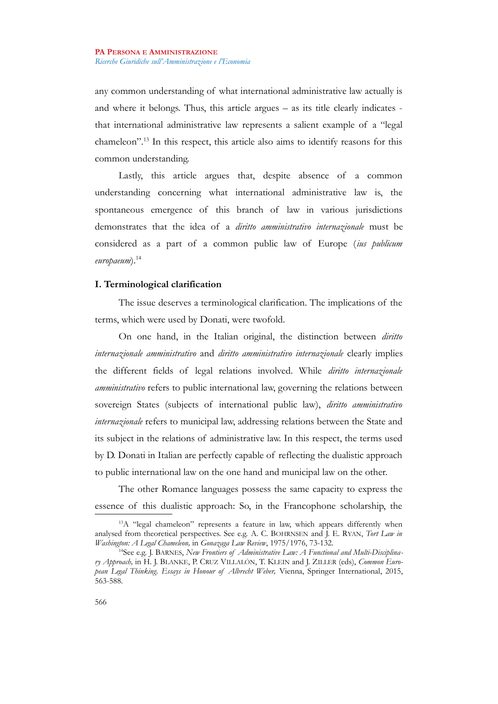any common understanding of what international administrative law actually is and where it belongs. Thus, this article argues – as its title clearly indicates that international administrative law represents a salient example of a "legal chameleon".[13](#page-4-0) In this respect, this article also aims to identify reasons for this common understanding.

Lastly, this article argues that, despite absence of a common understanding concerning what international administrative law is, the spontaneous emergence of this branch of law in various jurisdictions demonstrates that the idea of a *diritto amministrativo internazionale* must be considered as a part of a common public law of Europe (*ius publicum europaeum*).[14](#page-4-1)

## **I. Terminological clarification**

The issue deserves a terminological clarification. The implications of the terms, which were used by Donati, were twofold.

On one hand, in the Italian original, the distinction between *diritto internazionale amministrativo* and *diritto amministrativo internazionale* clearly implies the different fields of legal relations involved. While *diritto internazionale amministrativo* refers to public international law, governing the relations between sovereign States (subjects of international public law), *diritto amministrativo internazionale* refers to municipal law, addressing relations between the State and its subject in the relations of administrative law. In this respect, the terms used by D. Donati in Italian are perfectly capable of reflecting the dualistic approach to public international law on the one hand and municipal law on the other.

The other Romance languages possess the same capacity to express the essence of this dualistic approach: So, in the Francophone scholarship, the

<span id="page-4-0"></span><sup>&</sup>lt;sup>13</sup>A "legal chameleon" represents a feature in law, which appears differently when analysed from theoretical perspectives. See e.g. A. C. BOHRNSEN and J. E. RYAN, *Tort Law in Washington: A Legal Chameleon,* in *Gonazaga Law Review*, 1975/1976, 73-132.

<span id="page-4-1"></span><sup>&</sup>lt;sup>14</sup>See e.g. J. BARNES, New Frontiers of Administrative Law: A Functional and Multi-Disciplina*ry Approach,* in H. J. BLANKE, P. CRUZ VILLALÓN, T. KLEIN and J. ZILLER (eds), *Common European Legal Thinking. Essays in Honour of Albrecht Weber,* Vienna, Springer International, 2015, 563-588.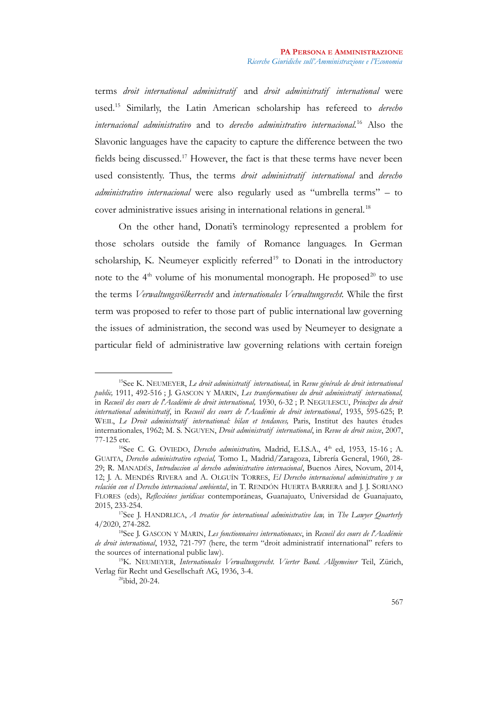terms *droit international administratif* and *droit administratif international* were used.[15](#page-5-0) Similarly, the Latin American scholarship has refereed to *derecho internacional administrativo* and to *derecho administrativo internacional.*[16](#page-5-1) Also the Slavonic languages have the capacity to capture the difference between the two fields being discussed.[17](#page-5-2) However, the fact is that these terms have never been used consistently. Thus, the terms *droit administratif international* and *derecho administrativo internacional* were also regularly used as "umbrella terms" – to cover administrative issues arising in international relations in general.<sup>[18](#page-5-3)</sup>

On the other hand, Donati's terminology represented a problem for those scholars outside the family of Romance languages. In German scholarship, K. Neumeyer explicitly referred<sup>[19](#page-5-4)</sup> to Donati in the introductory note to the  $4<sup>th</sup>$  volume of his monumental monograph. He proposed<sup>[20](#page-5-5)</sup> to use the terms *Verwaltungsvölkerrecht* and *internationales Verwaltungsrecht.* While the first term was proposed to refer to those part of public international law governing the issues of administration, the second was used by Neumeyer to designate a particular field of administrative law governing relations with certain foreign

<span id="page-5-0"></span><sup>15</sup>See K. NEUMEYER, *Le droit administratif international,* in *Revue générale de droit international public,* 1911, 492-516 ; J. GASCON Y MARIN, *Les transformations du droit administratif international,* in *Recueil des cours de l'Académie de droit international,* 1930, 6-32 ; P. NEGULESCU, *Principes du droit international administratif*, in *Recueil des cours de l'Académie de droit international*, 1935, 595-625; P. WEIL, *Le Droit administratif international: bilan et tendances*, Paris, Institut des hautes études internationales, 1962; M. S. NGUYEN, *Droit administratif international*, in *Revue de droit suisse*, 2007, 77-125 etc.

<span id="page-5-1"></span><sup>&</sup>lt;sup>16</sup>See C. G. OVIEDO, *Derecho administrativo*, Madrid, E.I.S.A., 4<sup>th</sup> ed, 1953, 15-16; A. GUAITA, *Derecho administrativo especial,* Tomo I.*,* Madrid/Zaragoza, Librería General, 1960, 28- 29; R. MANADÉS, *Introduccion al derecho administrativo internacional*, Buenos Aires, Novum, 2014, 12; J. A. MENDÉS RIVERA and A. OLGUÍN TORRES, *El Derecho internacional administrativo y su relación con el Derecho internacional ambiental*, in T. RENDÓN HUERTA BARRERA and J. J. SORIANO FLORES (eds), *Reflexiónes jurídicas* contemporáneas, Guanajuato, Universidad de Guanajuato, 2015, 233-254.

<span id="page-5-2"></span><sup>17</sup>See J. HANDRLICA, *A treatise for international administrative law,* in *The Lawyer Quarterly* 4/2020, 274-282.

<span id="page-5-3"></span><sup>18</sup>See J. GASCON Y MARIN, *Les fonctionnaires internationaux*, in *Recueil des cours de l'Académie de droit international*, 1932, 721-797 (here, the term "droit administratif international" refers to the sources of international public law).

<sup>&</sup>lt;sup>19</sup>K. NEUMEYER, *Internationales Verwaltungsrecht. Vierter Band. Allgemeiner* Teil, Zürich, Verlag für Recht und Gesellschaft AG, 1936, 3-4.

<span id="page-5-5"></span><span id="page-5-4"></span><sup>20</sup>ibid, 20-24.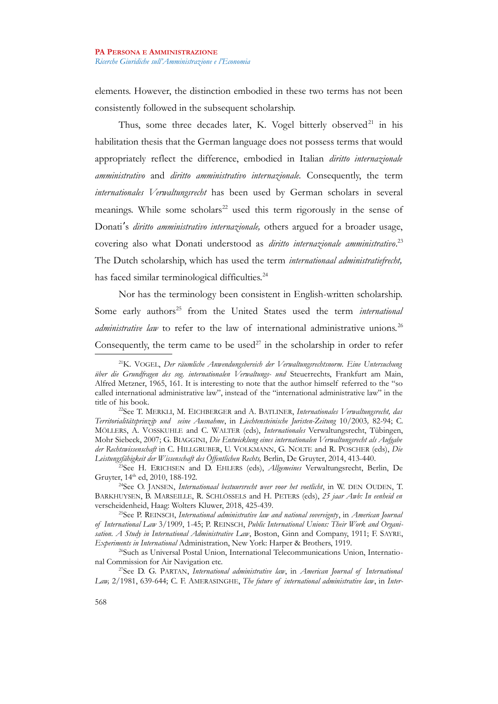elements. However, the distinction embodied in these two terms has not been consistently followed in the subsequent scholarship.

Thus, some three decades later, K. Vogel bitterly observed<sup>[21](#page-6-0)</sup> in his habilitation thesis that the German language does not possess terms that would appropriately reflect the difference, embodied in Italian *diritto internazionale amministrativo* and *diritto amministrativo internazionale.* Consequently, the term *internationales Verwaltungsrecht* has been used by German scholars in several meanings. While some scholars<sup>[22](#page-6-1)</sup> used this term rigorously in the sense of Donati's *diritto amministrativo internazionale*, others argued for a broader usage, covering also what Donati understood as *diritto internazionale amministrativo*. [23](#page-6-2) The Dutch scholarship, which has used the term *internationaal administratiefrecht,* has faced similar terminological difficulties.<sup>[24](#page-6-3)</sup>

Nor has the terminology been consistent in English-written scholarship. Some early authors<sup>[25](#page-6-4)</sup> from the United States used the term *international administrative law* to refer to the law of international administrative unions.<sup>[26](#page-6-5)</sup> Consequently, the term came to be used<sup>[27](#page-6-6)</sup> in the scholarship in order to refer

<span id="page-6-0"></span><sup>21</sup>K. VOGEL, *Der räumliche Anwendungsbereich der Verwaltungsrechtsnorm. Eine Untersuchung über die Grundfragen des sog. internationalen Verwaltungs- und* Steuerrechts, Frankfurt am Main, Alfred Metzner, 1965, 161. It is interesting to note that the author himself referred to the "so called international administrative law", instead of the "international administrative law" in the title of his book.

<span id="page-6-1"></span><sup>22</sup>See T. MERKLI, M. EICHBERGER and A. BATLINER, *Internationales Verwaltungsrecht, das Territorialitätsprinzip und seine Ausnahme*, in *Liechtensteinische Juristen-Zeitung* 10/2003*,* 82-94; C. MÖLLERS, A. VOSSKUHLE and C. WALTER (eds), *Internationales* Verwaltungsrecht, Tübingen, Mohr Siebeck, 2007; G. BIAGGINI, *Die Entwicklung eines internationalen Verwaltungsrecht als Aufgabe der Rechtswissenschaft* in C. HILLGRUBER, U. VOLKMANN, G. NOLTE and R. POSCHER (eds), *Die Leistungsfähigkeit der Wissenschaft des Öffentlichen Rechts,* Berlin, De Gruyter, 2014, 413-440.

<span id="page-6-2"></span><sup>23</sup>See H. ERICHSEN and D. EHLERS (eds), *Allgemeines* Verwaltungsrecht, Berlin, De Gruyter, 14<sup>th</sup> ed, 2010, 188-192.

<span id="page-6-3"></span><sup>24</sup>See O. JANSEN, *Internationaal bestuursrecht weer voor het voetlicht*, in W. DEN OUDEN, T. BARKHUYSEN, B. MARSEILLE, R. SCHLÖSSELS and H. PETERS (eds), *25 jaar Awb: In eenheid en* verscheidenheid, Haag: Wolters Kluwer, 2018, 425-439.

<span id="page-6-4"></span><sup>25</sup>See P. REINSCH, *International administrative law and national sovereignty*, in *American Journal of International Law* 3/1909, 1-45; P. REINSCH, *Public International Unions: Their Work and Organisation. A Study in International Administrative Law*, Boston, Ginn and Company, 1911; F. SAYRE, *Experiments in International* Administration, New York: Harper & Brothers, 1919.

<span id="page-6-5"></span><sup>26</sup>Such as Universal Postal Union, International Telecommunications Union, International Commission for Air Navigation etc.

<span id="page-6-6"></span><sup>27</sup>See D. G. PARTAN, *International administrative law*, in *American Journal of International Law,* 2/1981, 639-644; C. F. AMERASINGHE, *The future of international administrative law*, in *Inter-*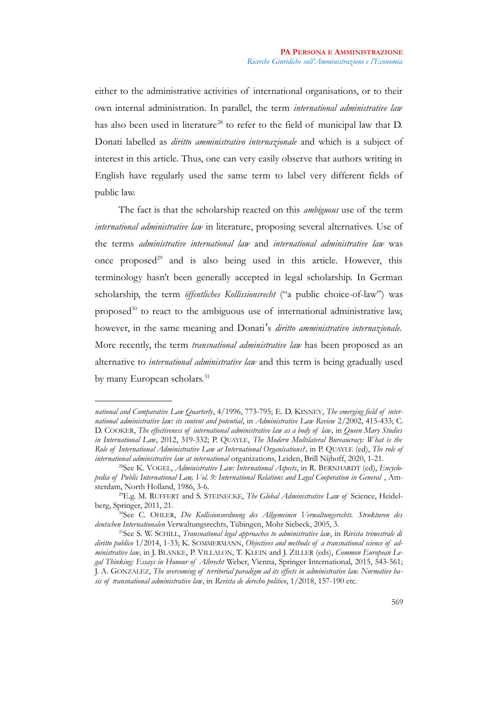either to the administrative activities of international organisations, or to their own internal administration. In parallel, the term *international administrative law* has also been used in literature<sup>[28](#page-7-0)</sup> to refer to the field of municipal law that D. Donati labelled as *diritto amministrativo internazionale* and which is a subject of interest in this article. Thus, one can very easily observe that authors writing in English have regularly used the same term to label very different fields of public law.

The fact is that the scholarship reacted on this *ambiguous* use of the term *international administrative law* in literature, proposing several alternatives. Use of the terms *administrative international law* and *international administrative law* was once proposed $^{29}$  $^{29}$  $^{29}$  and is also being used in this article. However, this terminology hasn't been generally accepted in legal scholarship. In German scholarship, the term *öffentliches Kollissionsrecht* ("a public choice-of-law") was proposed $30$  to react to the ambiguous use of international administrative law, however, in the same meaning and Donati's *diritto amministrativo internazionale*. More recently, the term *transnational administrative law* has been proposed as an alternative to *international administrative law* and this term is being gradually used by many European scholars.<sup>[31](#page-7-3)</sup>

*national and Comparative Law Quarterly*, 4/1996, 773-795; E. D. KINNEY, *The emerging field of international administrative law: its content and potential*, in *Administrative Law Review* 2/2002, 415-433; C. D. COOKER, *The effectiveness of international administrative law as a body of law,* in *Queen Mary Studies in International Law*, 2012, 319-332; P. QUAYLE, *The Modern Multilateral Bureaucracy: What is the Role of International Administrative Law at International Organisations?,* in P. QUAYLE (ed), *The role of international administrative law at international* organizations, Leiden, Brill Nijhoff, 2020, 1-21.

<span id="page-7-0"></span><sup>28</sup>See K. VOGEL, *Administrative Law: International Aspects*, in R. BERNHARDT (ed), *Encyclopedia of Public International Law, Vol. 9: International Relations and Legal Cooperation in General* , Amsterdam, North Holland, 1986, 3-6.

<span id="page-7-1"></span><sup>29</sup>E.g. M. RUFFERT and S. STEINECKE, *The Global Administrative Law of* Science, Heidelberg, Springer, 2011, 21.

<span id="page-7-2"></span><sup>30</sup>See C. OHLER, *Die Kollisionsordnung des Allgemeinen Verwaltungsrechts. Strukturen des deutschen Internationalen* Verwaltungsrechts, Tübingen, Mohr Siebeck, 2005, 3.

<span id="page-7-3"></span><sup>31</sup>See S. W. SCHILL, *Transnational legal approaches to administrative law*, in *Rivista trimestrale di diritto publico* 1/2014, 1-33; K. SOMMERMANN, *Objectives and methods of a transnational science of administrative law,* in J. BLANKE, P. VILLALON, T. KLEIN and J. ZILLER (eds), *Common European Legal Thinking: Essays in Honour of Albrecht* Weber, Vienna, Springer International, 2015, 543-561; J. A. GONZALEZ, *The overcoming of territorial paradigm ad its effects in administrative law. Normative basis of transnational administrative law*, in *Revista de derecho politico*, 1/2018, 157-190 etc.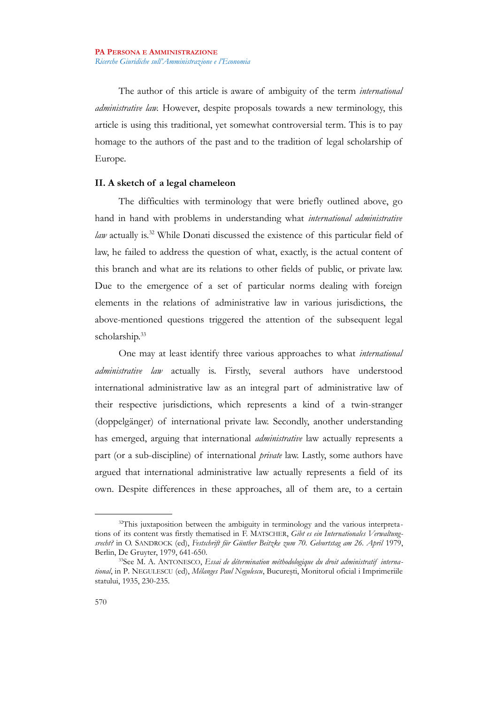The author of this article is aware of ambiguity of the term *international administrative law.* However, despite proposals towards a new terminology, this article is using this traditional, yet somewhat controversial term. This is to pay homage to the authors of the past and to the tradition of legal scholarship of Europe.

## **II. A sketch of a legal chameleon**

The difficulties with terminology that were briefly outlined above, go hand in hand with problems in understanding what *international administrative law* actually is.[32](#page-8-0) While Donati discussed the existence of this particular field of law, he failed to address the question of what, exactly, is the actual content of this branch and what are its relations to other fields of public, or private law. Due to the emergence of a set of particular norms dealing with foreign elements in the relations of administrative law in various jurisdictions, the above-mentioned questions triggered the attention of the subsequent legal scholarship.<sup>[33](#page-8-1)</sup>

One may at least identify three various approaches to what *international administrative law* actually is. Firstly, several authors have understood international administrative law as an integral part of administrative law of their respective jurisdictions, which represents a kind of a twin-stranger (doppelgänger) of international private law. Secondly, another understanding has emerged, arguing that international *administrative* law actually represents a part (or a sub-discipline) of international *private* law. Lastly, some authors have argued that international administrative law actually represents a field of its own. Despite differences in these approaches, all of them are, to a certain

<span id="page-8-0"></span><sup>&</sup>lt;sup>32</sup>This juxtaposition between the ambiguity in terminology and the various interpretations of its content was firstly thematised in F. MATSCHER, *Gibt es ein Internationales Verwaltungsrecht?* in O. SANDROCK (ed), *Festschrift für Günther Beitzke zum 70. Geburtstag am 26. April* 1979, Berlin, De Gruyter, 1979, 641-650.

<span id="page-8-1"></span><sup>33</sup>See M. A. ANTONESCO, *Essai de détermination méthodologique du droit administratif international*, in P. NEGULESCU (ed), *Mélanges Paul Negulescu*, Bucureşti, Monitorul oficial i Imprimeriile statului, 1935, 230-235.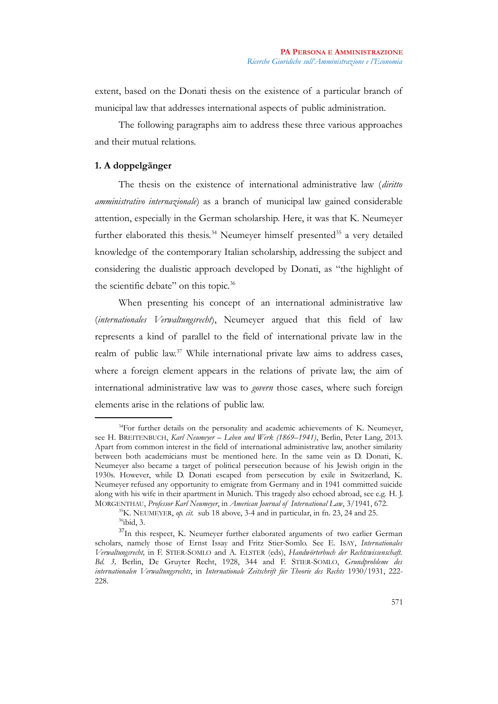extent, based on the Donati thesis on the existence of a particular branch of municipal law that addresses international aspects of public administration.

The following paragraphs aim to address these three various approaches and their mutual relations.

## **1. A doppelgänger**

The thesis on the existence of international administrative law (*diritto amministrativo internazionale*) as a branch of municipal law gained considerable attention, especially in the German scholarship. Here, it was that K. Neumeyer further elaborated this thesis.<sup>[34](#page-9-0)</sup> Neumeyer himself presented<sup>[35](#page-9-1)</sup> a very detailed knowledge of the contemporary Italian scholarship, addressing the subject and considering the dualistic approach developed by Donati, as "the highlight of the scientific debate" on this topic.<sup>[36](#page-9-2)</sup>

When presenting his concept of an international administrative law (*internationales Verwaltungsrecht*), Neumeyer argued that this field of law represents a kind of parallel to the field of international private law in the realm of public law.[37](#page-9-3) While international private law aims to address cases, where a foreign element appears in the relations of private law, the aim of international administrative law was to *govern* those cases, where such foreign elements arise in the relations of public law.

<span id="page-9-0"></span><sup>&</sup>lt;sup>34</sup>For further details on the personality and academic achievements of K. Neumeyer, see H. BREITENBUCH, *Karl Neumeyer – Leben und Werk (1869–1941)*, Berlin, Peter Lang, 2013. Apart from common interest in the field of international administrative law, another similarity between both academicians must be mentioned here. In the same vein as D. Donati, K. Neumeyer also became a target of political persecution because of his Jewish origin in the 1930s. However, while D. Donati escaped from persecution by exile in Switzerland, K. Neumeyer refused any opportunity to emigrate from Germany and in 1941 committed suicide along with his wife in their apartment in Munich. This tragedy also echoed abroad, see e.g. H. J. MORGENTHAU, *Professor Karl Neumeyer*, in *American Journal of International Law*, 3/1941, 672.

<span id="page-9-3"></span><span id="page-9-2"></span><span id="page-9-1"></span><sup>35</sup>K. NEUMEYER, *op. cit.* sub 18 above, 3-4 and in particular, in fn. 23, 24 and 25. <sup>36</sup>ibid, 3.

<sup>&</sup>lt;sup>37</sup>In this respect, K. Neumeyer further elaborated arguments of two earlier German scholars, namely those of Ernst Issay and Fritz Stier-Somlo. See E. ISAY, *Internationales Verwaltungsrecht,* in F. STIER-SOMLO and A. ELSTER (eds), *Handwörterbuch der Rechtswissenschaft. Bd. 3,* Berlin, De Gruyter Recht, 1928, 344 and F. STIER-SOMLO, *Grundprobleme des internationalen Verwaltungsrechts*, in *Internationale Zeitschrift für Theorie des Rechts* 1930/1931, 222- 228.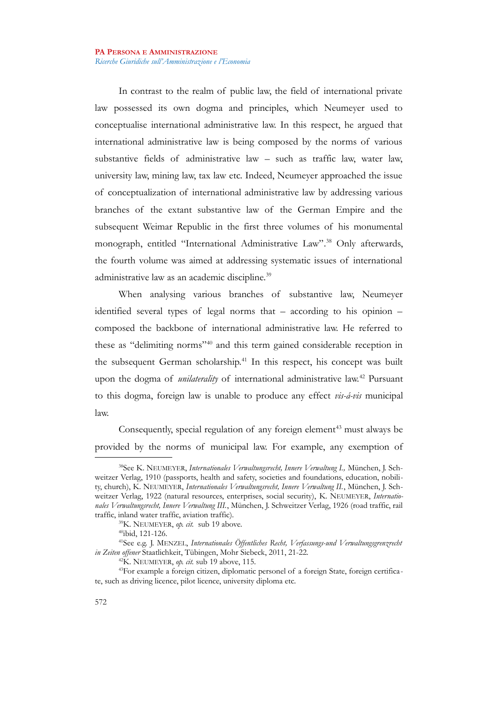In contrast to the realm of public law, the field of international private law possessed its own dogma and principles, which Neumeyer used to conceptualise international administrative law. In this respect, he argued that international administrative law is being composed by the norms of various substantive fields of administrative law – such as traffic law, water law, university law, mining law, tax law etc. Indeed, Neumeyer approached the issue of conceptualization of international administrative law by addressing various branches of the extant substantive law of the German Empire and the subsequent Weimar Republic in the first three volumes of his monumental monograph, entitled "International Administrative Law"*.* [38](#page-10-0) Only afterwards, the fourth volume was aimed at addressing systematic issues of international administrative law as an academic discipline.<sup>[39](#page-10-1)</sup>

When analysing various branches of substantive law, Neumeyer identified several types of legal norms that – according to his opinion – composed the backbone of international administrative law. He referred to these as "delimiting norms"[40](#page-10-2) and this term gained considerable reception in the subsequent German scholarship.<sup>[41](#page-10-3)</sup> In this respect, his concept was built upon the dogma of *unilaterality* of international administrative law.<sup>[42](#page-10-4)</sup> Pursuant to this dogma, foreign law is unable to produce any effect *vis-á-vis* municipal law.

Consequently, special regulation of any foreign element<sup>[43](#page-10-5)</sup> must always be provided by the norms of municipal law. For example, any exemption of

<span id="page-10-0"></span><sup>38</sup>See K. NEUMEYER, *Internationales Verwaltungsrecht, Innere Verwaltung I.,* München, J. Schweitzer Verlag, 1910 (passports, health and safety, societies and foundations, education, nobility, church), K. NEUMEYER, *Internationales Verwaltungsrecht, Innere Verwaltung II.*, München, J. Schweitzer Verlag, 1922 (natural resources, enterprises, social security), K. NEUMEYER, *Internationales Verwaltungsrecht, Innere Verwaltung III.*, München, J. Schweitzer Verlag, 1926 (road traffic, rail traffic, inland water traffic, aviation traffic).

<sup>39</sup>K. NEUMEYER, *op. cit.* sub 19 above.

<span id="page-10-3"></span><span id="page-10-2"></span><span id="page-10-1"></span><sup>40</sup>ibid, 121-126.

<sup>41</sup>See e.g. J. MENZEL, *Internationales Öffentliches Recht, Verfassungs-und Verwaltungsgrenzrecht in Zeiten offener* Staatlichkeit, Tübingen, Mohr Siebeck, 2011, 21-22.

<span id="page-10-5"></span><span id="page-10-4"></span><sup>42</sup>K. NEUMEYER, *op. cit.* sub 19 above, 115.

<sup>43</sup>For example a foreign citizen, diplomatic personel of a foreign State, foreign certificate, such as driving licence, pilot licence, university diploma etc.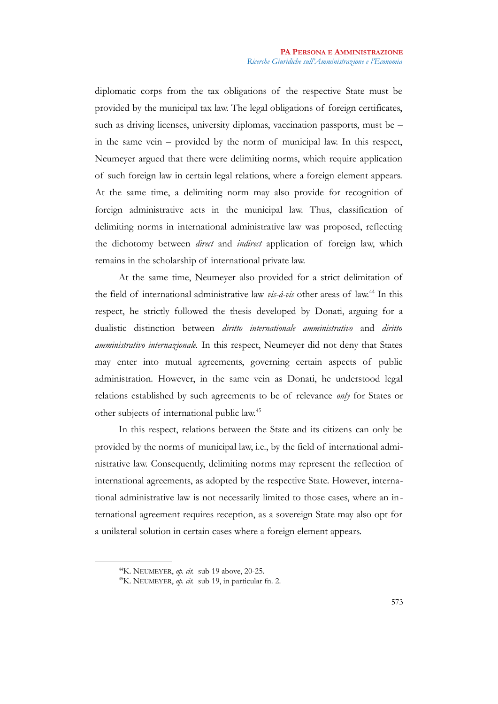diplomatic corps from the tax obligations of the respective State must be provided by the municipal tax law. The legal obligations of foreign certificates, such as driving licenses, university diplomas, vaccination passports, must be – in the same vein – provided by the norm of municipal law. In this respect, Neumeyer argued that there were delimiting norms, which require application of such foreign law in certain legal relations, where a foreign element appears. At the same time, a delimiting norm may also provide for recognition of foreign administrative acts in the municipal law. Thus, classification of delimiting norms in international administrative law was proposed, reflecting the dichotomy between *direct* and *indirect* application of foreign law, which remains in the scholarship of international private law.

At the same time, Neumeyer also provided for a strict delimitation of the field of international administrative law *vis-á-vis* other areas of law.[44](#page-11-0) In this respect, he strictly followed the thesis developed by Donati, arguing for a dualistic distinction between *diritto internationale amministrativo* and *diritto amministrativo internazionale.* In this respect, Neumeyer did not deny that States may enter into mutual agreements, governing certain aspects of public administration. However, in the same vein as Donati, he understood legal relations established by such agreements to be of relevance *only* for States or other subjects of international public law.[45](#page-11-1)

In this respect, relations between the State and its citizens can only be provided by the norms of municipal law, i.e., by the field of international administrative law. Consequently, delimiting norms may represent the reflection of international agreements, as adopted by the respective State. However, international administrative law is not necessarily limited to those cases, where an international agreement requires reception, as a sovereign State may also opt for a unilateral solution in certain cases where a foreign element appears.

<span id="page-11-0"></span><sup>44</sup>K. NEUMEYER, *op. cit.* sub 19 above, 20-25.

<span id="page-11-1"></span><sup>45</sup>K. NEUMEYER, *op. cit.* sub 19, in particular fn. 2.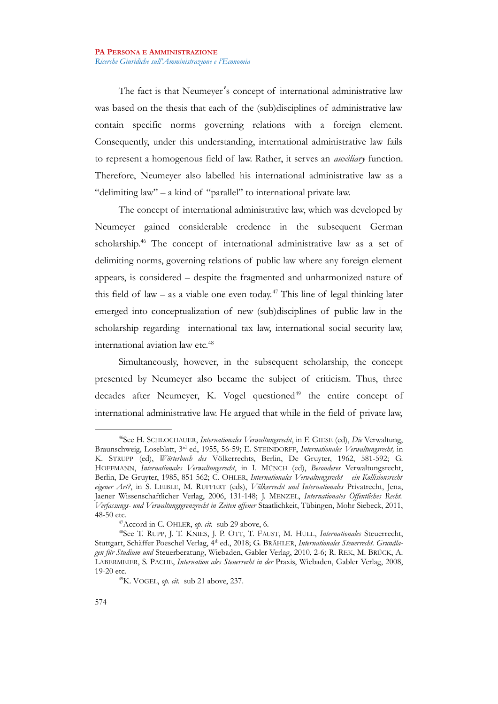The fact is that Neumeyer's concept of international administrative law was based on the thesis that each of the (sub)disciplines of administrative law contain specific norms governing relations with a foreign element. Consequently, under this understanding, international administrative law fails to represent a homogenous field of law. Rather, it serves an *auxiliary* function. Therefore, Neumeyer also labelled his international administrative law as a "delimiting law" – a kind of "parallel" to international private law.

The concept of international administrative law, which was developed by Neumeyer gained considerable credence in the subsequent German scholarship.[46](#page-12-0) The concept of international administrative law as a set of delimiting norms, governing relations of public law where any foreign element appears, is considered – despite the fragmented and unharmonized nature of this field of law – as a viable one even today.<sup>[47](#page-12-1)</sup> This line of legal thinking later emerged into conceptualization of new (sub)disciplines of public law in the scholarship regarding international tax law, international social security law, international aviation law etc.<sup>[48](#page-12-2)</sup>

Simultaneously, however, in the subsequent scholarship, the concept presented by Neumeyer also became the subject of criticism. Thus, three decades after Neumeyer, K. Vogel questioned $49$  the entire concept of international administrative law. He argued that while in the field of private law,

<span id="page-12-0"></span><sup>46</sup>See H. SCHLOCHAUER, *Internationales Verwaltungsrecht*, in F. GIESE (ed), *Die* Verwaltung, Braunschweig, Loseblatt, 3rd ed, 1955, 56-59; E. STEINDORFF, *Internationales Verwaltungsrecht,* in K. STRUPP (ed), *Wörterbuch des* Völkerrechts, Berlin, De Gruyter, 1962, 581-592; G. HOFFMANN, *Internationales Verwaltungsrecht*, in I. MÜNCH (ed), *Besonderes* Verwaltungsrecht, Berlin, De Gruyter, 1985, 851-562; C. OHLER, *Internationales Verwaltungsrecht – ein Kollisionsrecht eigener Art?*, in S. LEIBLE, M. RUFFERT (eds), *Völkerrecht und Internationales* Privatrecht, Jena, Jaener Wissenschaftlicher Verlag, 2006, 131-148; J. MENZEL, *Internationales Öffentliches Recht. Verfassungs- und Verwaltungsgrenzrecht in Zeiten offener* Staatlichkeit, Tübingen, Mohr Siebeck, 2011, 48-50 etc.

<span id="page-12-2"></span><span id="page-12-1"></span><sup>47</sup>Accord in C. OHLER, *op. cit.* sub 29 above, 6.

<sup>48</sup>See T. RUPP, J. T. KNIES, J. P. OTT, T. FAUST, M. HÜLL, *Internationales* Steuerrecht, Stuttgart, Schäffer Poeschel Verlag, 4<sup>th</sup> ed., 2018; G. BRÄHLER, Internationales Steuerrecht. Grundla*gen für Studium und* Steuerberatung, Wiebaden, Gabler Verlag, 2010, 2-6; R. REK, M. BRÜCK, A. LABERMEIER, S. PACHE, *Internation ales Steuerrecht in der* Praxis, Wiebaden, Gabler Verlag, 2008, 19-20 etc.

<span id="page-12-3"></span><sup>49</sup>K. VOGEL, *op. cit.* sub 21 above, 237.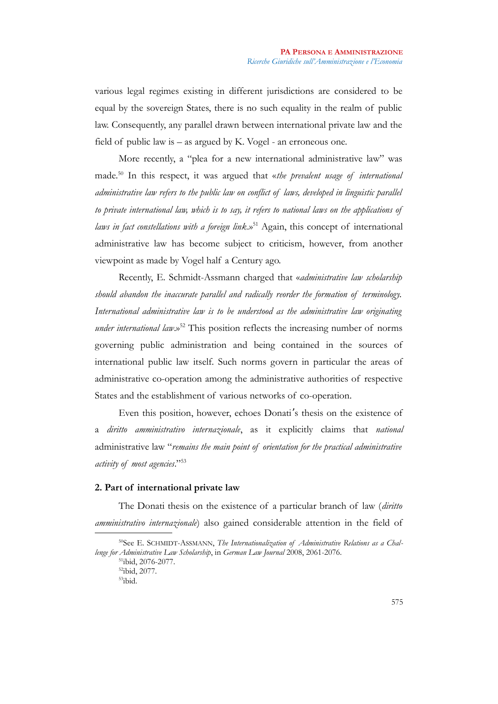various legal regimes existing in different jurisdictions are considered to be equal by the sovereign States, there is no such equality in the realm of public law. Consequently, any parallel drawn between international private law and the field of public law is – as argued by K. Vogel - an erroneous one.

More recently, a "plea for a new international administrative law" was made.[50](#page-13-0) In this respect, it was argued that «*the prevalent usage of international administrative law refers to the public law on conflict of laws, developed in linguistic parallel to private international law, which is to say, it refers to national laws on the applications of laws in fact constellations with a foreign link*.»[51](#page-13-1) Again, this concept of international administrative law has become subject to criticism, however, from another viewpoint as made by Vogel half a Century ago.

Recently, E. Schmidt-Assmann charged that «*administrative law scholarship should abandon the inaccurate parallel and radically reorder the formation of terminology. International administrative law is to be understood as the administrative law originating under international law.*»<sup>[52](#page-13-2)</sup> This position reflects the increasing number of norms governing public administration and being contained in the sources of international public law itself. Such norms govern in particular the areas of administrative co-operation among the administrative authorities of respective States and the establishment of various networks of co-operation.

Even this position, however, echoes Donati's thesis on the existence of a *diritto amministrativo internazionale*, as it explicitly claims that *national* administrative law "*remains the main point of orientation for the practical administrative activity of most agencies*."[53](#page-13-3)

## **2. Part of international private law**

The Donati thesis on the existence of a particular branch of law (*diritto amministrativo internazionale*) also gained considerable attention in the field of

<sup>50</sup>See E. SCHMIDT-ASSMANN, *The Internationalization of Administrative Relations as a Challenge for Administrative Law Scholarship*, in *German Law Journal* 2008, 2061-2076.

<span id="page-13-1"></span><span id="page-13-0"></span><sup>51</sup>ibid, 2076-2077.

<span id="page-13-2"></span><sup>52</sup>ibid, 2077.

<span id="page-13-3"></span><sup>53</sup>ibid.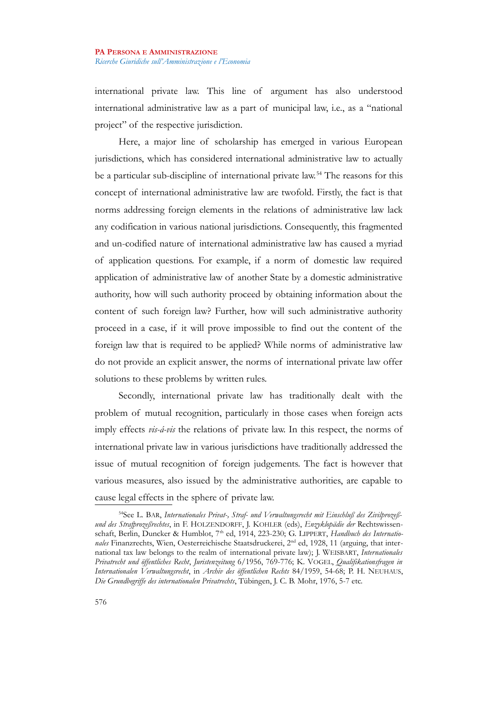international private law. This line of argument has also understood international administrative law as a part of municipal law, i.e., as a "national project" of the respective jurisdiction.

Here, a major line of scholarship has emerged in various European jurisdictions, which has considered international administrative law to actually be a particular sub-discipline of international private law.<sup>[54](#page-14-0)</sup> The reasons for this concept of international administrative law are twofold. Firstly, the fact is that norms addressing foreign elements in the relations of administrative law lack any codification in various national jurisdictions. Consequently, this fragmented and un-codified nature of international administrative law has caused a myriad of application questions. For example, if a norm of domestic law required application of administrative law of another State by a domestic administrative authority, how will such authority proceed by obtaining information about the content of such foreign law? Further, how will such administrative authority proceed in a case, if it will prove impossible to find out the content of the foreign law that is required to be applied? While norms of administrative law do not provide an explicit answer, the norms of international private law offer solutions to these problems by written rules.

Secondly, international private law has traditionally dealt with the problem of mutual recognition, particularly in those cases when foreign acts imply effects *vis-á-vis* the relations of private law. In this respect, the norms of international private law in various jurisdictions have traditionally addressed the issue of mutual recognition of foreign judgements. The fact is however that various measures, also issued by the administrative authorities, are capable to cause legal effects in the sphere of private law.

<span id="page-14-0"></span><sup>54</sup>See L. BAR, *Internationales Privat-, Straf- und Verwaltungsrecht mit Einschluß des Zivilprozeßund des Strafprozeßrechtes*, in F. HOLZENDORFF, J. KOHLER (eds), *Enzyklopädie der* Rechtswissenschaft, Berlin, Duncker & Humblot, 7<sup>th</sup> ed, 1914, 223-230; G. LIPPERT, *Handbuch des Internatio*nales Finanzrechts, Wien, Oesterreichische Staatsdruckerei, 2<sup>nd</sup> ed, 1928, 11 (arguing, that international tax law belongs to the realm of international private law); J. WEISBART, *Internationales Privatrecht und öffentliches Recht*, *Juristenzeitung* 6/1956, 769-776; K. VOGEL, *Qualifikationsfragen in Internationalen Verwaltungsrecht*, in *Archiv des öffentlichen Rechts* 84/1959, 54-68; P. H. NEUHAUS, *Die Grundbegriffe des internationalen Privatrechts*, Tübingen, J. C. B. Mohr, 1976, 5-7 etc.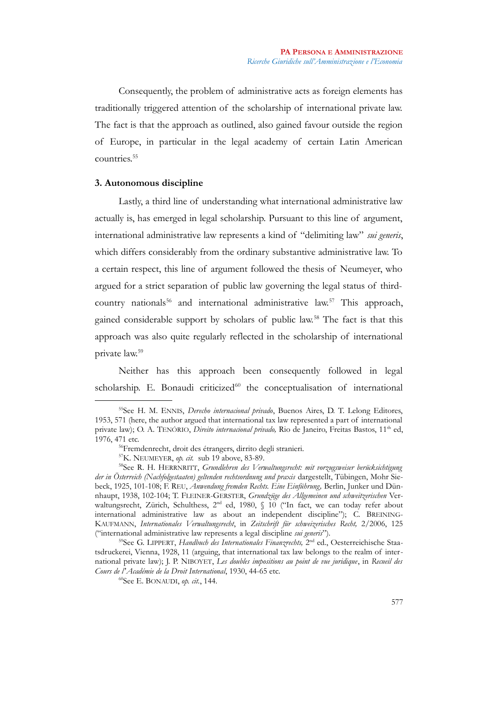Consequently, the problem of administrative acts as foreign elements has traditionally triggered attention of the scholarship of international private law. The fact is that the approach as outlined, also gained favour outside the region of Europe, in particular in the legal academy of certain Latin American countries.<sup>[55](#page-15-0)</sup>

## **3. Autonomous discipline**

Lastly, a third line of understanding what international administrative law actually is, has emerged in legal scholarship. Pursuant to this line of argument, international administrative law represents a kind of "delimiting law" *sui generis*, which differs considerably from the ordinary substantive administrative law. To a certain respect, this line of argument followed the thesis of Neumeyer, who argued for a strict separation of public law governing the legal status of third-country nationals<sup>[56](#page-15-1)</sup> and international administrative law.<sup>[57](#page-15-2)</sup> This approach, gained considerable support by scholars of public law.[58](#page-15-3) The fact is that this approach was also quite regularly reflected in the scholarship of international private law.[59](#page-15-4)

Neither has this approach been consequently followed in legal scholarship. E. Bonaudi criticized<sup>[60](#page-15-5)</sup> the conceptualisation of international

<span id="page-15-0"></span><sup>55</sup>See H. M. ENNIS, *Derecho internacional privado*, Buenos Aires, D. T. Lelong Editores, 1953, 571 (here, the author argued that international tax law represented a part of international private law); O. A. TENÓRIO, *Direito internacional privado*, Rio de Janeiro, Freitas Bastos, 11<sup>th</sup> ed, 1976, 471 etc.

<span id="page-15-1"></span><sup>56</sup>Fremdenrecht, droit des étrangers, dirrito degli stranieri.

<span id="page-15-3"></span><span id="page-15-2"></span><sup>57</sup>K. NEUMEYER, *op. cit.* sub 19 above, 83-89.

<sup>58</sup>See R. H. HERRNRITT, *Grundlehren des Verwaltungsrecht: mit vorzugsweiser berücksichtigung der in Österreich (Nachfolgestaaten) geltenden rechtsordnung und praxis* dargestellt, Tübingen, Mohr Siebeck, 1925, 101-108; F. REU, *Anwendung fremden Rechts. Eine Einführung,* Berlin, Junker und Dünnhaupt, 1938, 102-104; T. FLEINER-GERSTER, *Grundzüge des Allgemeinen und schweitzerischen* Verwaltungsrecht, Zürich, Schulthess, 2<sup>nd</sup> ed, 1980, § 10 ("In fact, we can today refer about international administrative law as about an independent discipline"); C. BREINING-KAUFMANN, *Internationales Verwaltungsrecht*, in *Zeitschrift für schweizerisches Recht,* 2/2006, 125 ("international administrative law represents a legal discipline *sui generis*").

<span id="page-15-4"></span><sup>&</sup>lt;sup>59</sup>See G. LIPPERT, *Handbuch des Internationales Finanzrechts*, 2<sup>nd</sup> ed., Oesterreichische Staatsdruckerei, Vienna, 1928, 11 (arguing, that international tax law belongs to the realm of international private law); J. P. NIBOYET, *Les doubles impositions au point de vue juridique*, in *Recueil des Cours de l'Académie de la Droit International*, 1930, 44-65 etc.

<span id="page-15-5"></span><sup>60</sup>See E. BONAUDI, *op. cit.*, 144.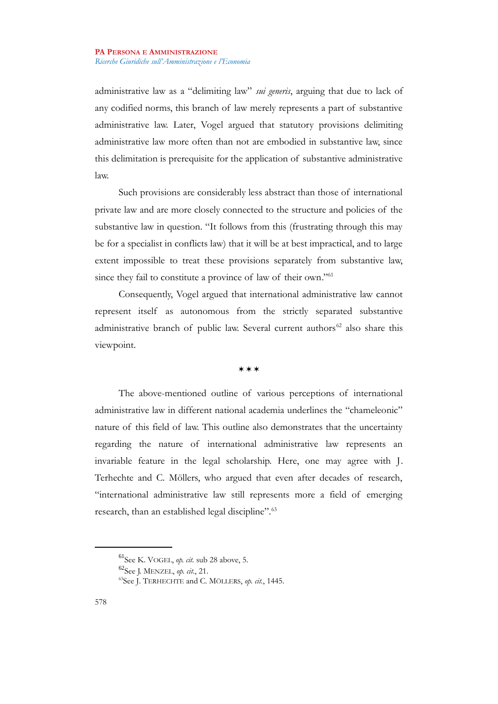administrative law as a "delimiting law" *sui generis*, arguing that due to lack of any codified norms, this branch of law merely represents a part of substantive administrative law. Later, Vogel argued that statutory provisions delimiting administrative law more often than not are embodied in substantive law, since this delimitation is prerequisite for the application of substantive administrative law.

Such provisions are considerably less abstract than those of international private law and are more closely connected to the structure and policies of the substantive law in question. "It follows from this (frustrating through this may be for a specialist in conflicts law) that it will be at best impractical, and to large extent impossible to treat these provisions separately from substantive law, since they fail to constitute a province of law of their own."<sup>[61](#page-16-0)</sup>

Consequently, Vogel argued that international administrative law cannot represent itself as autonomous from the strictly separated substantive administrative branch of public law. Several current authors<sup>[62](#page-16-1)</sup> also share this viewpoint.

## \*\*\*

The above-mentioned outline of various perceptions of international administrative law in different national academia underlines the "chameleonic" nature of this field of law. This outline also demonstrates that the uncertainty regarding the nature of international administrative law represents an invariable feature in the legal scholarship. Here, one may agree with J. Terhechte and C. Möllers, who argued that even after decades of research, "international administrative law still represents more a field of emerging research, than an established legal discipline".<sup>[63](#page-16-2)</sup>

<span id="page-16-0"></span><sup>61</sup>See K. VOGEL, *op. cit.* sub 28 above, 5.

<span id="page-16-1"></span><sup>62</sup>See J. MENZEL, *op. cit.*, 21.

<span id="page-16-2"></span><sup>63</sup>See J. TERHECHTE and C. MÖLLERS, *op. cit.*, 1445.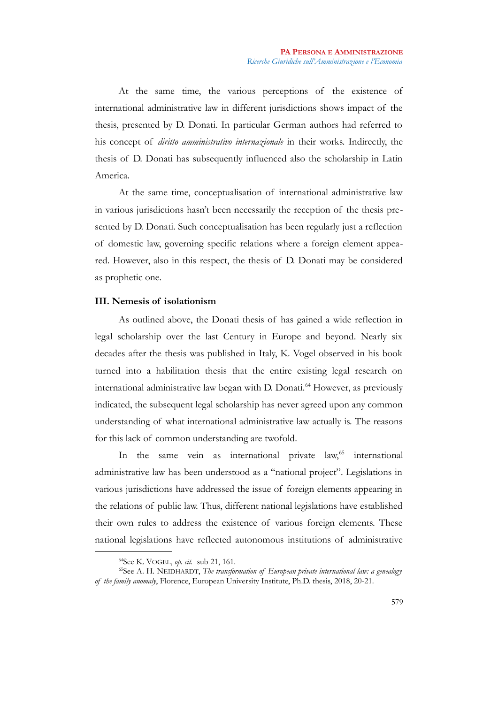At the same time, the various perceptions of the existence of international administrative law in different jurisdictions shows impact of the thesis, presented by D. Donati. In particular German authors had referred to his concept of *diritto amministrativo internazionale* in their works. Indirectly, the thesis of D. Donati has subsequently influenced also the scholarship in Latin America.

At the same time, conceptualisation of international administrative law in various jurisdictions hasn't been necessarily the reception of the thesis presented by D. Donati. Such conceptualisation has been regularly just a reflection of domestic law, governing specific relations where a foreign element appeared. However, also in this respect, the thesis of D. Donati may be considered as prophetic one.

## **III. Nemesis of isolationism**

As outlined above, the Donati thesis of has gained a wide reflection in legal scholarship over the last Century in Europe and beyond. Nearly six decades after the thesis was published in Italy, K. Vogel observed in his book turned into a habilitation thesis that the entire existing legal research on international administrative law began with D. Donati.<sup>[64](#page-17-0)</sup> However, as previously indicated, the subsequent legal scholarship has never agreed upon any common understanding of what international administrative law actually is. The reasons for this lack of common understanding are twofold.

In the same vein as international private law,<sup>[65](#page-17-1)</sup> international administrative law has been understood as a "national project". Legislations in various jurisdictions have addressed the issue of foreign elements appearing in the relations of public law. Thus, different national legislations have established their own rules to address the existence of various foreign elements. These national legislations have reflected autonomous institutions of administrative

<span id="page-17-1"></span><span id="page-17-0"></span><sup>64</sup>See K. VOGEL, *op. cit.* sub 21, 161.

<sup>65</sup>See A. H. NEIDHARDT, *The transformation of European private international law: a genealogy of the family anomaly*, Florence, European University Institute, Ph.D. thesis, 2018, 20-21.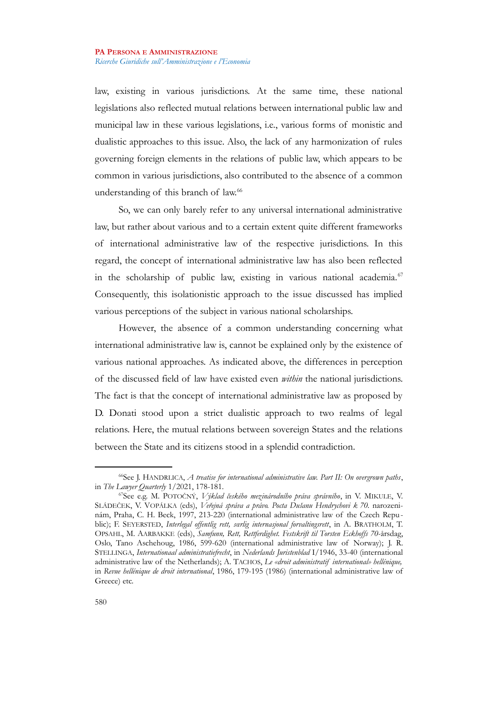law, existing in various jurisdictions. At the same time, these national legislations also reflected mutual relations between international public law and municipal law in these various legislations, i.e., various forms of monistic and dualistic approaches to this issue. Also, the lack of any harmonization of rules governing foreign elements in the relations of public law, which appears to be common in various jurisdictions, also contributed to the absence of a common understanding of this branch of law.<sup>[66](#page-18-0)</sup>

So, we can only barely refer to any universal international administrative law, but rather about various and to a certain extent quite different frameworks of international administrative law of the respective jurisdictions. In this regard, the concept of international administrative law has also been reflected in the scholarship of public law, existing in various national academia. $67$ Consequently, this isolationistic approach to the issue discussed has implied various perceptions of the subject in various national scholarships.

However, the absence of a common understanding concerning what international administrative law is, cannot be explained only by the existence of various national approaches. As indicated above, the differences in perception of the discussed field of law have existed even *within* the national jurisdictions. The fact is that the concept of international administrative law as proposed by D. Donati stood upon a strict dualistic approach to two realms of legal relations. Here, the mutual relations between sovereign States and the relations between the State and its citizens stood in a splendid contradiction.

<span id="page-18-0"></span><sup>66</sup>See J. HANDRLICA, *A treatise for international administrative law. Part II: On overgrown paths*, in *The Lawyer Quarterly* 1/2021, 178-181.

<span id="page-18-1"></span><sup>67</sup>See e.g. M. POTOČNÝ, *Výklad českého mezinárodního práva správního*, in V. MIKULE, V. SLÁDEČEK, V. VOPÁLKA (eds), *Veřejná správa a právo. Pocta Dušanu Hendrychovi k 70.* narozeninám, Praha, C. H. Beck, 1997, 213-220 (international administrative law of the Czech Republic); F. SEYERSTED, *Interlegal offentlig rett, sœrlig internasjonal forvaltingsrett*, in A. BRATHOLM, T. OPSAHL, M. AARBAKKE (eds), *Samfunn, Rett, Rettferdighet. Festskrift til Torsten Eckhoffs 70-*årsdag, Oslo, Tano Aschehoug, 1986, 599-620 (international administrative law of Norway); J. R. STELLINGA, *Internationaal administratiefrecht*, in *Nederlands Juristenblad* I/1946, 33-40 (international administrative law of the Netherlands); A. TACHOS, *Le «droit administratif international» hellénique,* in *Revue hellénique de droit international*, 1986, 179-195 (1986) (international administrative law of Greece) etc.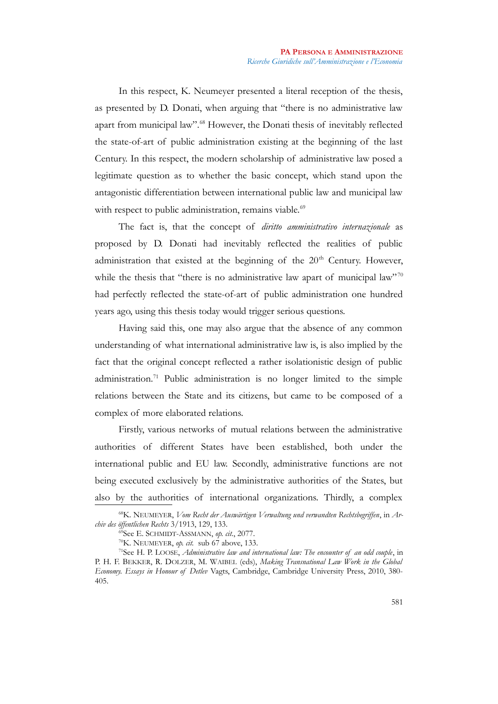In this respect, K. Neumeyer presented a literal reception of the thesis, as presented by D. Donati, when arguing that "there is no administrative law apart from municipal law".<sup>[68](#page-19-0)</sup> However, the Donati thesis of inevitably reflected the state-of-art of public administration existing at the beginning of the last Century. In this respect, the modern scholarship of administrative law posed a legitimate question as to whether the basic concept, which stand upon the antagonistic differentiation between international public law and municipal law with respect to public administration, remains viable.<sup>[69](#page-19-1)</sup>

The fact is, that the concept of *diritto amministrativo internazionale* as proposed by D. Donati had inevitably reflected the realities of public administration that existed at the beginning of the  $20<sup>th</sup>$  Century. However, while the thesis that "there is no administrative law apart of municipal law"  $70$ had perfectly reflected the state-of-art of public administration one hundred years ago, using this thesis today would trigger serious questions.

Having said this, one may also argue that the absence of any common understanding of what international administrative law is, is also implied by the fact that the original concept reflected a rather isolationistic design of public administration.[71](#page-19-3) Public administration is no longer limited to the simple relations between the State and its citizens, but came to be composed of a complex of more elaborated relations.

Firstly, various networks of mutual relations between the administrative authorities of different States have been established, both under the international public and EU law. Secondly, administrative functions are not being executed exclusively by the administrative authorities of the States, but also by the authorities of international organizations. Thirdly, a complex

<sup>68</sup>K. NEUMEYER, *Vom Recht der Auswärtigen Verwaltung und verwandten Rechtsbegriffen*, in *Archiv des öffentlichen Rechts* 3/1913, 129, 133.

<span id="page-19-1"></span><span id="page-19-0"></span><sup>69</sup>See E. SCHMIDT-ASSMANN, *op. cit.*, 2077.

<span id="page-19-3"></span><span id="page-19-2"></span><sup>70</sup>K. NEUMEYER, *op. cit.* sub 67 above, 133.

<sup>71</sup>See H. P. LOOSE, *Administrative law and international law: The encounter of an odd couple*, in P. H. F. BEKKER, R. DOLZER, M. WAIBEL (eds), *Making Transnational Law Work in the Global Economy. Essays in Honour of Detlev* Vagts, Cambridge, Cambridge University Press, 2010, 380- 405.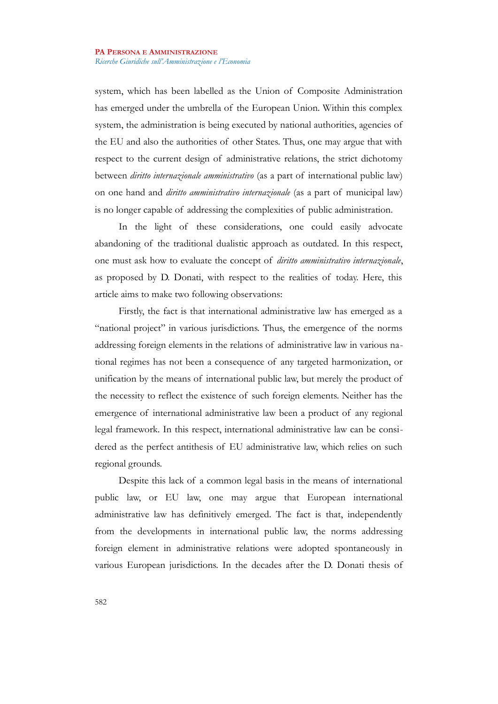system, which has been labelled as the Union of Composite Administration has emerged under the umbrella of the European Union. Within this complex system, the administration is being executed by national authorities, agencies of the EU and also the authorities of other States. Thus, one may argue that with respect to the current design of administrative relations, the strict dichotomy between *diritto internazionale amministrativo* (as a part of international public law) on one hand and *diritto amministrativo internazionale* (as a part of municipal law) is no longer capable of addressing the complexities of public administration.

In the light of these considerations, one could easily advocate abandoning of the traditional dualistic approach as outdated. In this respect, one must ask how to evaluate the concept of *diritto amministrativo internazionale*, as proposed by D. Donati, with respect to the realities of today. Here, this article aims to make two following observations:

Firstly, the fact is that international administrative law has emerged as a "national project" in various jurisdictions. Thus, the emergence of the norms addressing foreign elements in the relations of administrative law in various national regimes has not been a consequence of any targeted harmonization, or unification by the means of international public law, but merely the product of the necessity to reflect the existence of such foreign elements. Neither has the emergence of international administrative law been a product of any regional legal framework. In this respect, international administrative law can be considered as the perfect antithesis of EU administrative law, which relies on such regional grounds.

Despite this lack of a common legal basis in the means of international public law, or EU law, one may argue that European international administrative law has definitively emerged. The fact is that, independently from the developments in international public law, the norms addressing foreign element in administrative relations were adopted spontaneously in various European jurisdictions. In the decades after the D. Donati thesis of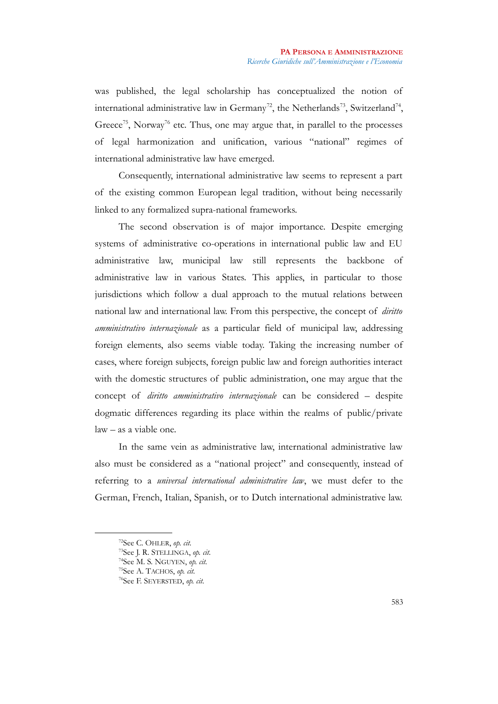was published, the legal scholarship has conceptualized the notion of international administrative law in Germany<sup>[72](#page-21-0)</sup>, the Netherlands<sup>[73](#page-21-1)</sup>, Switzerland<sup>[74](#page-21-2)</sup>, Greece<sup>[75](#page-21-3)</sup>, Norway<sup>[76](#page-21-4)</sup> etc. Thus, one may argue that, in parallel to the processes of legal harmonization and unification, various "national" regimes of international administrative law have emerged.

Consequently, international administrative law seems to represent a part of the existing common European legal tradition, without being necessarily linked to any formalized supra-national frameworks.

The second observation is of major importance. Despite emerging systems of administrative co-operations in international public law and EU administrative law, municipal law still represents the backbone of administrative law in various States. This applies, in particular to those jurisdictions which follow a dual approach to the mutual relations between national law and international law. From this perspective, the concept of *diritto amministrativo internazionale* as a particular field of municipal law, addressing foreign elements, also seems viable today. Taking the increasing number of cases, where foreign subjects, foreign public law and foreign authorities interact with the domestic structures of public administration, one may argue that the concept of *diritto amministrativo internazionale* can be considered – despite dogmatic differences regarding its place within the realms of public/private law – as a viable one.

In the same vein as administrative law, international administrative law also must be considered as a "national project" and consequently, instead of referring to a *universal international administrative law*, we must defer to the German, French, Italian, Spanish, or to Dutch international administrative law.

<span id="page-21-0"></span><sup>72</sup>See C. OHLER, *op. cit.*

<span id="page-21-1"></span><sup>73</sup>See J. R. STELLINGA, *op. cit.*

<span id="page-21-2"></span><sup>74</sup>See M. S. NGUYEN, *op. cit.*

<span id="page-21-3"></span><sup>75</sup>See A. TACHOS, *op. cit.*

<span id="page-21-4"></span><sup>76</sup>See F. SEYERSTED, *op. cit.*